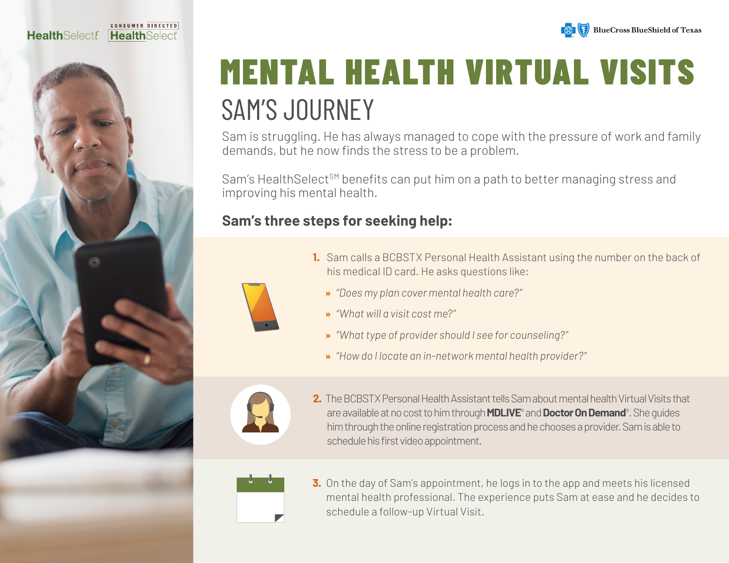





# MENTAL HEALTH VIRTUAL VISITS SAM'S JOURNEY

Sam is struggling. He has always managed to cope with the pressure of work and family demands, but he now finds the stress to be a problem.

Sam's Health Select<sup>SM</sup> benefits can put him on a path to better managing stress and improving his mental health.

### **Sam's three steps for seeking help:**

- 
- **1.** Sam calls a BCBSTX Personal Health Assistant using the number on the back of his medical ID card. He asks questions like:
	- **»** *"Does my plan cover mental health care?"*
	- **»** *"What will a visit cost me?"*
	- **»** *"What type of provider should I see for counseling?"*
	- **»** *"How do I locate an in-network mental health provider?"*



**2.** The BCBSTX Personal Health Assistant tells Sam about mental health Virtual Visits that are available at no cost to him through **MDLIVE**® and **Doctor On Demand**®. She guides him through the online registration process and he chooses a provider. Sam is able to schedule his first video appointment.



**3.** On the day of Sam's appointment, he logs in to the app and meets his licensed mental health professional. The experience puts Sam at ease and he decides to schedule a follow-up Virtual Visit.